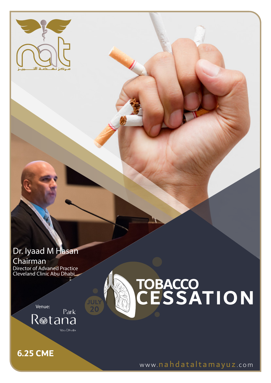

### Dr. Iyaad M Hasan Chairman

Director of Advaned Practice Cleveland Clinic Abu Dhabi

# **TOBACCO CESSATION**

Venue: Park Rotana **Nou Dhabi** 

**6.25 CME**

www.nahdataltamayuz .com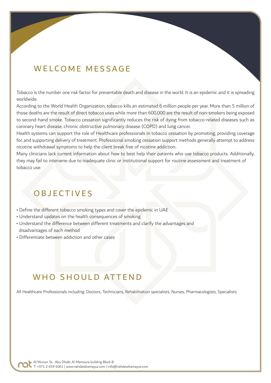#### WELCOME MESSAGE

Tobacco is the number one risk factor for preventable death and disease in the world. It is an epidemic and it is spreading worldwide.

According to the World Health Organization, tobacco kills an estimated 6 million people per year. More than 5 million of those deaths are the result of direct tobacco uses while more than 600,000 are the result of non-smokers being exposed to second-hand smoke. Tobacco cessation significantly reduces the risk of dying from tobacco-related diseases such as coronary heart disease, chronic obstructive pulmonary disease (COPD) and lung cancer.

Health systems can support the role of Healthcare professionals in tobacco cessation by promoting, providing coverage for, and supporting delivery of treatment. Professional smoking cessation support methods generally attempt to address nicotine withdrawal symptoms to help the client break free of nicotine addiction.

Many clinicians lack current information about how to best help their patients who use tobacco products. Additionally, they may fail to intervene due to inadequate clinic or institutional support for routine assessment and treatment of tobacco use.

### **OBJECTIVES**

- Define the different tobacco smoking types and cover the epidemic in UAE
- Understand updates on the health consequences of smoking
- Understand the difference between different treatments and clarify the advantages and disadvantages of each method
- Differentiate between addiction and other cases

### WHO SHOULD ATTEND

All Healthcare Professionals including: Doctors, Technicians, Rehabilitation specialists, Nurses, Pharmacologists, Specialists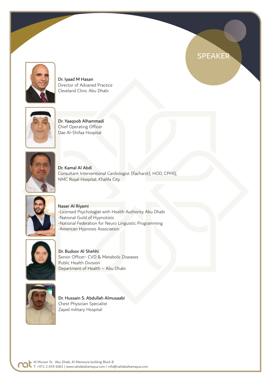

Dr. Iyaad M Hasan Director of Advaned Practice Cleveland Clinic Abu Dhabi



Dr. Yaaqoob Alhammadi Chief Operating Officer Dae Al-Shifaa Hospital



Dr. Kamal Al Abdi Consultant Interventional Cardiologist (Facharzt), HOD, CPHQ, NMC Royal Hospital, Khalifa City

SPEAKER



Naser Al Riyami -Licensed Psychologist with Health Authority Abu Dhabi -National Guild of Hypnotists -National Federation for Neuro Linguistic Programming -American Hypnosis Association



Dr. Budoor Al Shehhi Senior Officer- CVD & Metabolic Diseases Public Health Division Department of Health – Abu Dhabi



Dr. Hussain S. Abdullah Almusaabi Chest Physician Specialist Zayed military Hospital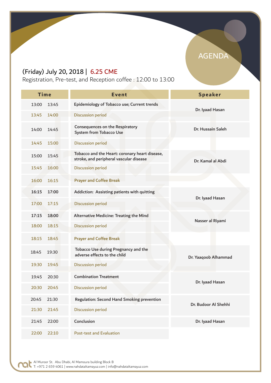#### (Friday) July 20, 2018 | 6.25 CME

Registration, Pre-test, and Reception coffee : 12:00 to 13:00

| <b>Time</b>    | <b>Event</b>                                                                              | <b>Speaker</b>       |
|----------------|-------------------------------------------------------------------------------------------|----------------------|
|                |                                                                                           |                      |
| 13:00<br>13:45 | Epidemiology of Tobacco use; Current trends                                               | Dr. Iyaad Hasan      |
| 13:45<br>14:00 | <b>Discussion period</b>                                                                  |                      |
| 14:00<br>14:45 | <b>Consequences on the Respiratory</b><br><b>System from Tobacco Use</b>                  | Dr. Hussain Saleh    |
| 15:00<br>14:45 | <b>Discussion period</b>                                                                  |                      |
| 15:00<br>15:45 | Tobacco and the Heart: coronary heart disease,<br>stroke, and peripheral vascular disease | Dr. Kamal al Abdi    |
| 16:00<br>15:45 | <b>Discussion period</b>                                                                  |                      |
| 16:00<br>16:15 | <b>Prayer and Coffee Break</b>                                                            |                      |
| 17:00<br>16:15 | Addiction: Assisting patients with quitting                                               | Dr. Iyaad Hasan      |
| 17:15<br>17:00 | <b>Discussion period</b>                                                                  |                      |
| 17:15<br>18:00 | Alternative Medicine: Treating the Mind                                                   | Nasser al Riyami     |
| 18:00<br>18:15 | <b>Discussion period</b>                                                                  |                      |
| 18:15<br>18:45 | <b>Prayer and Coffee Break</b>                                                            |                      |
| 18:45<br>19:30 | Tobacco Use during Pregnancy and the<br>adverse effects to the child                      | Dr. Yaaqoob Alhammad |
| 19:30<br>19:45 | <b>Discussion period</b>                                                                  |                      |
| 20:30<br>19:45 | <b>Combination Treatment</b>                                                              | Dr. Iyaad Hasan      |
| 20:30<br>20:45 | <b>Discussion period</b>                                                                  |                      |
| 20:45<br>21:30 | Regulation: Second Hand Smoking prevention                                                | Dr. Budoor Al Shehhi |
| 21:30<br>21:45 | <b>Discussion period</b>                                                                  |                      |
| 21:45<br>22:00 | Conclusion                                                                                | Dr. Iyaad Hasan      |
| 22:10<br>22:00 | Post-test and Evaluation                                                                  |                      |

C

### AGENDA